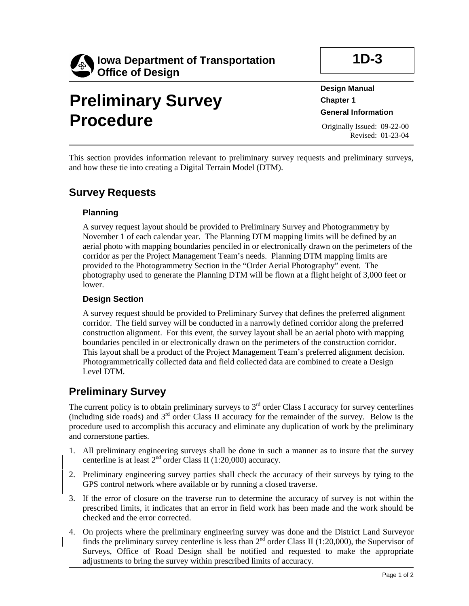

# **Preliminary Survey Procedure**

**1D-3** 

**Design Manual Chapter 1 General Information** 

Originally Issued: 09-22-00 Revised: 01-23-04

This section provides information relevant to preliminary survey requests and preliminary surveys, and how these tie into creating a Digital Terrain Model (DTM).

## **Survey Requests**

#### **Planning**

A survey request layout should be provided to Preliminary Survey and Photogrammetry by November 1 of each calendar year. The Planning DTM mapping limits will be defined by an aerial photo with mapping boundaries penciled in or electronically drawn on the perimeters of the corridor as per the Project Management Team's needs. Planning DTM mapping limits are provided to the Photogrammetry Section in the "Order Aerial Photography" event. The photography used to generate the Planning DTM will be flown at a flight height of 3,000 feet or lower.

#### **Design Section**

A survey request should be provided to Preliminary Survey that defines the preferred alignment corridor. The field survey will be conducted in a narrowly defined corridor along the preferred construction alignment. For this event, the survey layout shall be an aerial photo with mapping boundaries penciled in or electronically drawn on the perimeters of the construction corridor. This layout shall be a product of the Project Management Team's preferred alignment decision. Photogrammetrically collected data and field collected data are combined to create a Design Level DTM.

## **Preliminary Survey**

The current policy is to obtain preliminary surveys to  $3<sup>rd</sup>$  order Class I accuracy for survey centerlines (including side roads) and 3rd order Class II accuracy for the remainder of the survey. Below is the procedure used to accomplish this accuracy and eliminate any duplication of work by the preliminary and cornerstone parties.

- 1. All preliminary engineering surveys shall be done in such a manner as to insure that the survey centerline is at least  $2<sup>nd</sup>$  order Class II (1:20,000) accuracy.
- 2. Preliminary engineering survey parties shall check the accuracy of their surveys by tying to the GPS control network where available or by running a closed traverse.
- 3. If the error of closure on the traverse run to determine the accuracy of survey is not within the prescribed limits, it indicates that an error in field work has been made and the work should be checked and the error corrected.
- 4. On projects where the preliminary engineering survey was done and the District Land Surveyor finds the preliminary survey centerline is less than  $2<sup>nd</sup>$  order Class II (1:20,000), the Supervisor of Surveys, Office of Road Design shall be notified and requested to make the appropriate adjustments to bring the survey within prescribed limits of accuracy.